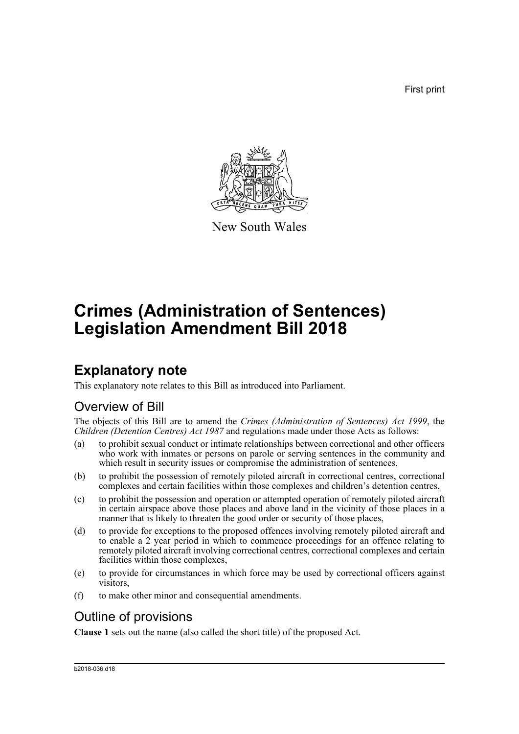First print



New South Wales

# **Crimes (Administration of Sentences) Legislation Amendment Bill 2018**

## **Explanatory note**

This explanatory note relates to this Bill as introduced into Parliament.

## Overview of Bill

The objects of this Bill are to amend the *Crimes (Administration of Sentences) Act 1999*, the *Children (Detention Centres) Act 1987* and regulations made under those Acts as follows:

- (a) to prohibit sexual conduct or intimate relationships between correctional and other officers who work with inmates or persons on parole or serving sentences in the community and which result in security issues or compromise the administration of sentences,
- (b) to prohibit the possession of remotely piloted aircraft in correctional centres, correctional complexes and certain facilities within those complexes and children's detention centres,
- (c) to prohibit the possession and operation or attempted operation of remotely piloted aircraft in certain airspace above those places and above land in the vicinity of those places in a manner that is likely to threaten the good order or security of those places,
- (d) to provide for exceptions to the proposed offences involving remotely piloted aircraft and to enable a 2 year period in which to commence proceedings for an offence relating to remotely piloted aircraft involving correctional centres, correctional complexes and certain facilities within those complexes,
- (e) to provide for circumstances in which force may be used by correctional officers against visitors,
- (f) to make other minor and consequential amendments.

## Outline of provisions

**Clause 1** sets out the name (also called the short title) of the proposed Act.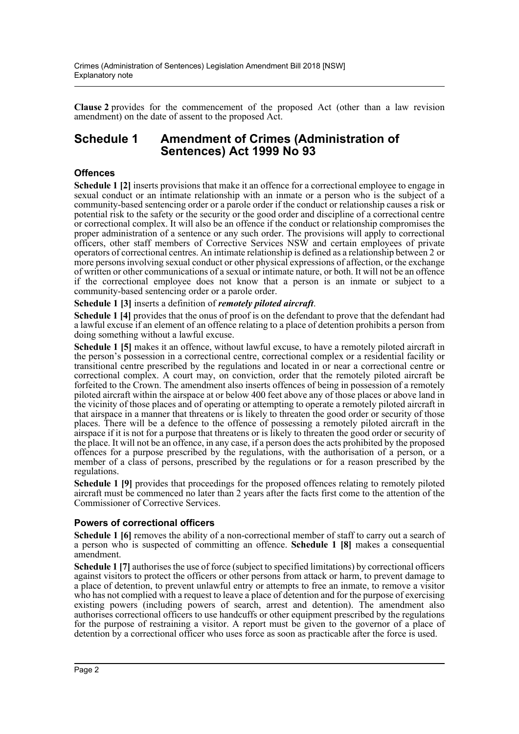**Clause 2** provides for the commencement of the proposed Act (other than a law revision amendment) on the date of assent to the proposed Act.

### **Schedule 1 Amendment of Crimes (Administration of Sentences) Act 1999 No 93**

#### **Offences**

**Schedule 1** [2] inserts provisions that make it an offence for a correctional employee to engage in sexual conduct or an intimate relationship with an inmate or a person who is the subject of a community-based sentencing order or a parole order if the conduct or relationship causes a risk or potential risk to the safety or the security or the good order and discipline of a correctional centre or correctional complex. It will also be an offence if the conduct or relationship compromises the proper administration of a sentence or any such order. The provisions will apply to correctional officers, other staff members of Corrective Services NSW and certain employees of private operators of correctional centres. An intimate relationship is defined as a relationship between 2 or more persons involving sexual conduct or other physical expressions of affection, or the exchange of written or other communications of a sexual or intimate nature, or both. It will not be an offence if the correctional employee does not know that a person is an inmate or subject to a community-based sentencing order or a parole order.

#### **Schedule 1 [3]** inserts a definition of *remotely piloted aircraft*.

**Schedule 1 [4]** provides that the onus of proof is on the defendant to prove that the defendant had a lawful excuse if an element of an offence relating to a place of detention prohibits a person from doing something without a lawful excuse.

**Schedule 1 [5]** makes it an offence, without lawful excuse, to have a remotely piloted aircraft in the person's possession in a correctional centre, correctional complex or a residential facility or transitional centre prescribed by the regulations and located in or near a correctional centre or correctional complex. A court may, on conviction, order that the remotely piloted aircraft be forfeited to the Crown. The amendment also inserts offences of being in possession of a remotely piloted aircraft within the airspace at or below 400 feet above any of those places or above land in the vicinity of those places and of operating or attempting to operate a remotely piloted aircraft in that airspace in a manner that threatens or is likely to threaten the good order or security of those places. There will be a defence to the offence of possessing a remotely piloted aircraft in the airspace if it is not for a purpose that threatens or is likely to threaten the good order or security of the place. It will not be an offence, in any case, if a person does the acts prohibited by the proposed offences for a purpose prescribed by the regulations, with the authorisation of a person, or a member of a class of persons, prescribed by the regulations or for a reason prescribed by the regulations.

**Schedule 1 [9]** provides that proceedings for the proposed offences relating to remotely piloted aircraft must be commenced no later than 2 years after the facts first come to the attention of the Commissioner of Corrective Services.

#### **Powers of correctional officers**

**Schedule 1 [6]** removes the ability of a non-correctional member of staff to carry out a search of a person who is suspected of committing an offence. **Schedule 1 [8]** makes a consequential amendment.

**Schedule 1 [7]** authorises the use of force (subject to specified limitations) by correctional officers against visitors to protect the officers or other persons from attack or harm, to prevent damage to a place of detention, to prevent unlawful entry or attempts to free an inmate, to remove a visitor who has not complied with a request to leave a place of detention and for the purpose of exercising existing powers (including powers of search, arrest and detention). The amendment also authorises correctional officers to use handcuffs or other equipment prescribed by the regulations for the purpose of restraining a visitor. A report must be given to the governor of a place of detention by a correctional officer who uses force as soon as practicable after the force is used.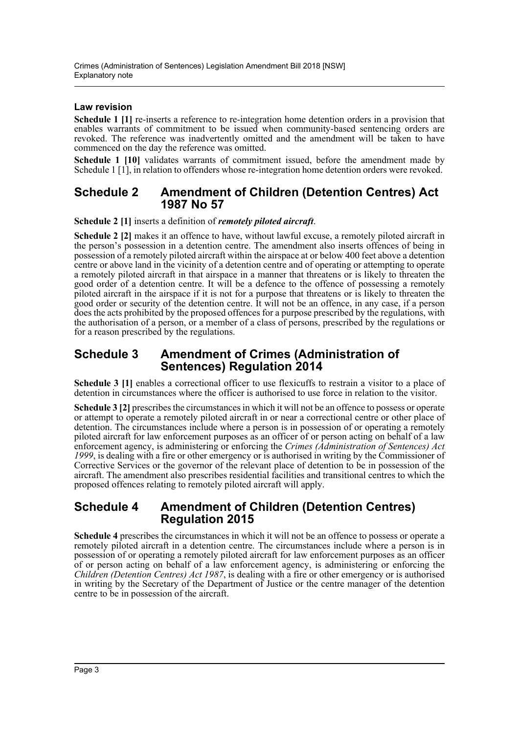#### **Law revision**

**Schedule 1 [1]** re-inserts a reference to re-integration home detention orders in a provision that enables warrants of commitment to be issued when community-based sentencing orders are revoked. The reference was inadvertently omitted and the amendment will be taken to have commenced on the day the reference was omitted.

**Schedule 1 [10]** validates warrants of commitment issued, before the amendment made by Schedule 1 [1], in relation to offenders whose re-integration home detention orders were revoked.

#### **Schedule 2 Amendment of Children (Detention Centres) Act 1987 No 57**

**Schedule 2 [1]** inserts a definition of *remotely piloted aircraft*.

**Schedule 2 [2]** makes it an offence to have, without lawful excuse, a remotely piloted aircraft in the person's possession in a detention centre. The amendment also inserts offences of being in possession of a remotely piloted aircraft within the airspace at or below 400 feet above a detention centre or above land in the vicinity of a detention centre and of operating or attempting to operate a remotely piloted aircraft in that airspace in a manner that threatens or is likely to threaten the good order of a detention centre. It will be a defence to the offence of possessing a remotely piloted aircraft in the airspace if it is not for a purpose that threatens or is likely to threaten the good order or security of the detention centre. It will not be an offence, in any case, if a person does the acts prohibited by the proposed offences for a purpose prescribed by the regulations, with the authorisation of a person, or a member of a class of persons, prescribed by the regulations or for a reason prescribed by the regulations.

### **Schedule 3 Amendment of Crimes (Administration of Sentences) Regulation 2014**

**Schedule 3 [1]** enables a correctional officer to use flexicuffs to restrain a visitor to a place of detention in circumstances where the officer is authorised to use force in relation to the visitor.

**Schedule 3 [2]** prescribes the circumstances in which it will not be an offence to possess or operate or attempt to operate a remotely piloted aircraft in or near a correctional centre or other place of detention. The circumstances include where a person is in possession of or operating a remotely piloted aircraft for law enforcement purposes as an officer of or person acting on behalf of a law enforcement agency, is administering or enforcing the *Crimes (Administration of Sentences) Act 1999*, is dealing with a fire or other emergency or is authorised in writing by the Commissioner of Corrective Services or the governor of the relevant place of detention to be in possession of the aircraft. The amendment also prescribes residential facilities and transitional centres to which the proposed offences relating to remotely piloted aircraft will apply.

### **Schedule 4 Amendment of Children (Detention Centres) Regulation 2015**

**Schedule 4** prescribes the circumstances in which it will not be an offence to possess or operate a remotely piloted aircraft in a detention centre. The circumstances include where a person is in possession of or operating a remotely piloted aircraft for law enforcement purposes as an officer of or person acting on behalf of a law enforcement agency, is administering or enforcing the *Children (Detention Centres) Act 1987*, is dealing with a fire or other emergency or is authorised in writing by the Secretary of the Department of Justice or the centre manager of the detention centre to be in possession of the aircraft.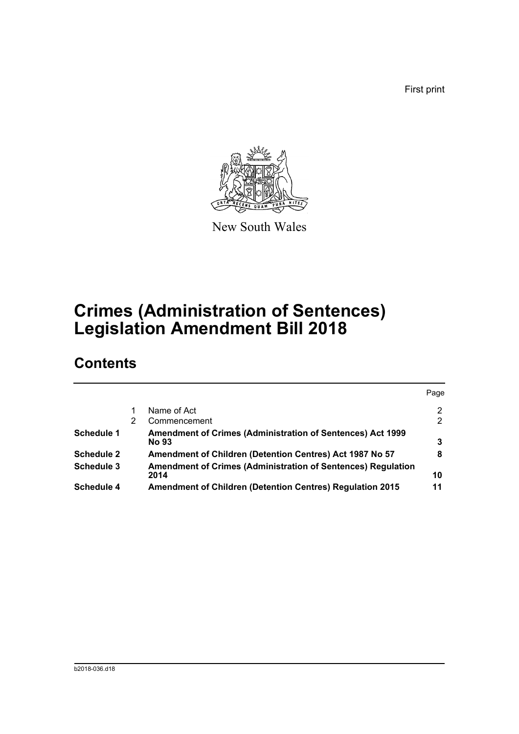First print



New South Wales

# **Crimes (Administration of Sentences) Legislation Amendment Bill 2018**

## **Contents**

|   |                                                                                   | Page         |
|---|-----------------------------------------------------------------------------------|--------------|
|   | Name of Act                                                                       | 2            |
| 2 | Commencement                                                                      | $\mathbf{2}$ |
|   | <b>Amendment of Crimes (Administration of Sentences) Act 1999</b><br><b>No 93</b> | 3            |
|   | Amendment of Children (Detention Centres) Act 1987 No 57                          | 8            |
|   | Amendment of Crimes (Administration of Sentences) Regulation<br>2014              | 10           |
|   | <b>Amendment of Children (Detention Centres) Regulation 2015</b>                  | 11           |
|   |                                                                                   |              |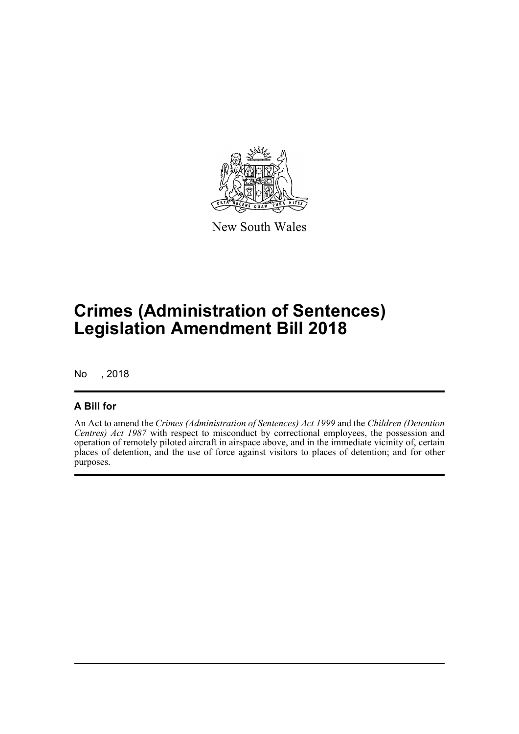

New South Wales

# **Crimes (Administration of Sentences) Legislation Amendment Bill 2018**

No , 2018

### **A Bill for**

An Act to amend the *Crimes (Administration of Sentences) Act 1999* and the *Children (Detention Centres) Act 1987* with respect to misconduct by correctional employees, the possession and operation of remotely piloted aircraft in airspace above, and in the immediate vicinity of, certain places of detention, and the use of force against visitors to places of detention; and for other purposes.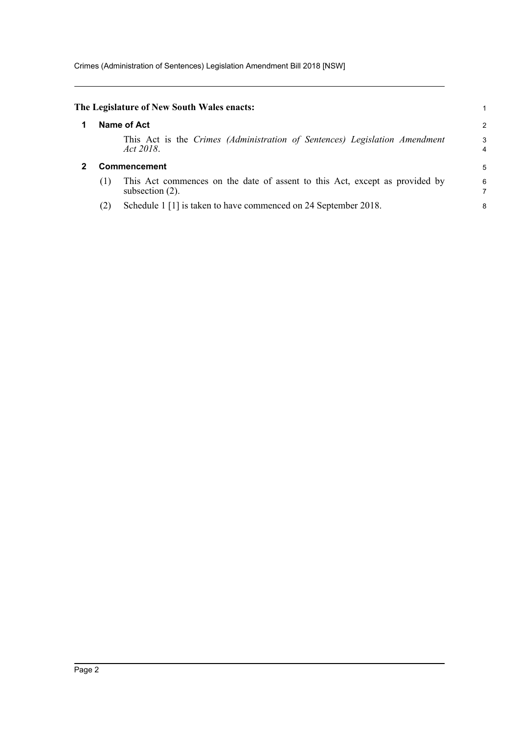<span id="page-5-1"></span><span id="page-5-0"></span>

|     | The Legislature of New South Wales enacts:                                                        |   |
|-----|---------------------------------------------------------------------------------------------------|---|
|     | Name of Act                                                                                       | 2 |
|     | This Act is the Crimes (Administration of Sentences) Legislation Amendment<br>Act 2018.           | З |
|     | <b>Commencement</b>                                                                               | 5 |
| (1) | This Act commences on the date of assent to this Act, except as provided by<br>subsection $(2)$ . | Е |
|     | Schedule 1 [1] is taken to have commenced on 24 September 2018.                                   | ٤ |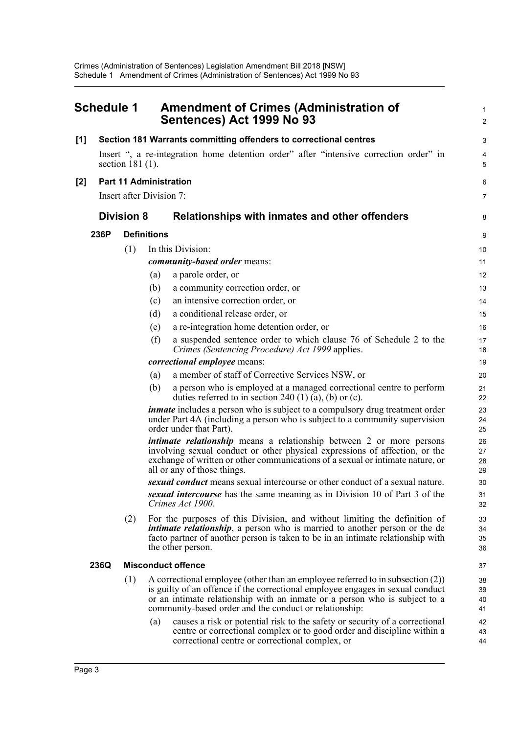<span id="page-6-0"></span>

|       | <b>Schedule 1</b> |                               |                    | <b>Amendment of Crimes (Administration of</b><br>Sentences) Act 1999 No 93                                                                                                                                                                                                                               | 1<br>$\overline{c}$  |  |
|-------|-------------------|-------------------------------|--------------------|----------------------------------------------------------------------------------------------------------------------------------------------------------------------------------------------------------------------------------------------------------------------------------------------------------|----------------------|--|
| [1]   |                   |                               |                    | Section 181 Warrants committing offenders to correctional centres                                                                                                                                                                                                                                        | 3                    |  |
|       |                   | section $181(1)$ .            |                    | Insert ", a re-integration home detention order" after "intensive correction order" in                                                                                                                                                                                                                   | 4<br>5               |  |
| $[2]$ |                   | <b>Part 11 Administration</b> |                    |                                                                                                                                                                                                                                                                                                          |                      |  |
|       |                   | Insert after Division 7:      |                    |                                                                                                                                                                                                                                                                                                          | 7                    |  |
|       |                   | <b>Division 8</b>             |                    | Relationships with inmates and other offenders                                                                                                                                                                                                                                                           | 8                    |  |
|       | 236P              |                               | <b>Definitions</b> |                                                                                                                                                                                                                                                                                                          | 9                    |  |
|       |                   | (1)                           |                    | In this Division:                                                                                                                                                                                                                                                                                        | 10                   |  |
|       |                   |                               |                    | <i>community-based order means:</i>                                                                                                                                                                                                                                                                      | 11                   |  |
|       |                   |                               | (a)                | a parole order, or                                                                                                                                                                                                                                                                                       | 12                   |  |
|       |                   |                               | (b)                | a community correction order, or                                                                                                                                                                                                                                                                         | 13                   |  |
|       |                   |                               | (c)                | an intensive correction order, or                                                                                                                                                                                                                                                                        | 14                   |  |
|       |                   |                               | (d)                | a conditional release order, or                                                                                                                                                                                                                                                                          | 15                   |  |
|       |                   |                               | (e)                | a re-integration home detention order, or                                                                                                                                                                                                                                                                | 16                   |  |
|       |                   |                               | (f)                | a suspended sentence order to which clause 76 of Schedule 2 to the<br>Crimes (Sentencing Procedure) Act 1999 applies.                                                                                                                                                                                    | 17<br>18             |  |
|       |                   |                               |                    | <i>correctional employee</i> means:                                                                                                                                                                                                                                                                      | 19                   |  |
|       |                   |                               | (a)                | a member of staff of Corrective Services NSW, or                                                                                                                                                                                                                                                         | 20                   |  |
|       |                   |                               | (b)                | a person who is employed at a managed correctional centre to perform<br>duties referred to in section 240 (1) (a), (b) or (c).                                                                                                                                                                           | 21<br>22             |  |
|       |                   |                               |                    | <i>inmate</i> includes a person who is subject to a compulsory drug treatment order<br>under Part 4A (including a person who is subject to a community supervision<br>order under that Part).                                                                                                            | 23<br>24<br>25       |  |
|       |                   |                               |                    | <i>intimate relationship</i> means a relationship between 2 or more persons<br>involving sexual conduct or other physical expressions of affection, or the<br>exchange of written or other communications of a sexual or intimate nature, or<br>all or any of those things.                              | 26<br>27<br>28<br>29 |  |
|       |                   |                               |                    | sexual conduct means sexual intercourse or other conduct of a sexual nature.                                                                                                                                                                                                                             | 30                   |  |
|       |                   |                               |                    | sexual intercourse has the same meaning as in Division 10 of Part 3 of the<br>Crimes Act 1900.                                                                                                                                                                                                           | 31<br>32             |  |
|       |                   | (2)                           |                    | For the purposes of this Division, and without limiting the definition of<br><i>intimate relationship</i> , a person who is married to another person or the de<br>facto partner of another person is taken to be in an intimate relationship with<br>the other person.                                  | 33<br>34<br>35<br>36 |  |
|       | 236Q              |                               |                    | <b>Misconduct offence</b>                                                                                                                                                                                                                                                                                | 37                   |  |
|       |                   | (1)                           |                    | A correctional employee (other than an employee referred to in subsection (2))<br>is guilty of an offence if the correctional employee engages in sexual conduct<br>or an intimate relationship with an inmate or a person who is subject to a<br>community-based order and the conduct or relationship: | 38<br>39<br>40<br>41 |  |
|       |                   |                               | (a)                | causes a risk or potential risk to the safety or security of a correctional<br>centre or correctional complex or to good order and discipline within a<br>correctional centre or correctional complex, or                                                                                                | 42<br>43<br>44       |  |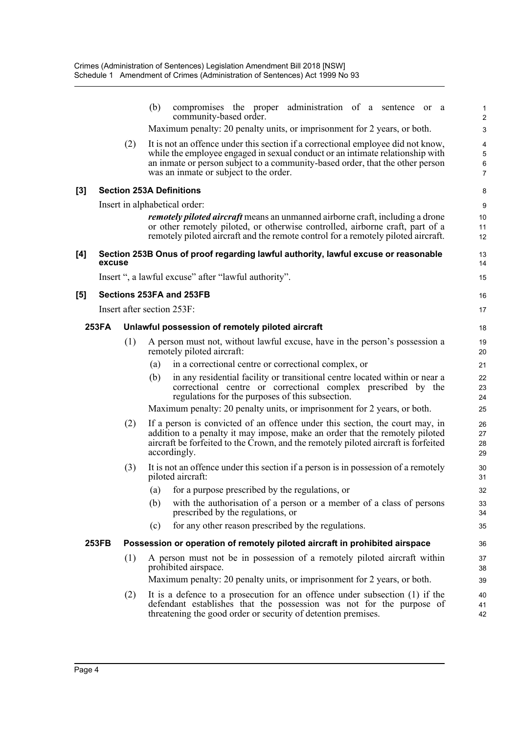|                     |              |     | (b)<br>compromises the proper administration of a sentence or a<br>community-based order.                                                                                                                                                                          | 2                    |
|---------------------|--------------|-----|--------------------------------------------------------------------------------------------------------------------------------------------------------------------------------------------------------------------------------------------------------------------|----------------------|
|                     |              |     | Maximum penalty: 20 penalty units, or imprisonment for 2 years, or both.                                                                                                                                                                                           | З                    |
|                     |              | (2) | It is not an offence under this section if a correctional employee did not know,                                                                                                                                                                                   |                      |
|                     |              |     | while the employee engaged in sexual conduct or an intimate relationship with<br>an inmate or person subject to a community-based order, that the other person                                                                                                     | $\epsilon$           |
|                     |              |     | was an inmate or subject to the order.                                                                                                                                                                                                                             | 7                    |
| $\left[3\right]$    |              |     | <b>Section 253A Definitions</b>                                                                                                                                                                                                                                    | ε                    |
|                     |              |     | Insert in alphabetical order:                                                                                                                                                                                                                                      | ς                    |
|                     |              |     | <i>remotely piloted aircraft</i> means an unmanned airborne craft, including a drone<br>or other remotely piloted, or otherwise controlled, airborne craft, part of a<br>remotely piloted aircraft and the remote control for a remotely piloted aircraft.         | 10<br>11<br>12       |
| [4]                 | excuse       |     | Section 253B Onus of proof regarding lawful authority, lawful excuse or reasonable                                                                                                                                                                                 | 13<br>14             |
|                     |              |     | Insert ", a lawful excuse" after "lawful authority".                                                                                                                                                                                                               | 15                   |
| $\lbrack 5 \rbrack$ |              |     | Sections 253FA and 253FB                                                                                                                                                                                                                                           | 16                   |
|                     |              |     | Insert after section 253F:                                                                                                                                                                                                                                         | 17                   |
|                     | 253FA        |     | Unlawful possession of remotely piloted aircraft                                                                                                                                                                                                                   | 18                   |
|                     |              | (1) | A person must not, without lawful excuse, have in the person's possession a<br>remotely piloted aircraft:                                                                                                                                                          | 19<br>20             |
|                     |              |     | in a correctional centre or correctional complex, or<br>(a)                                                                                                                                                                                                        | 21                   |
|                     |              |     | in any residential facility or transitional centre located within or near a<br>(b)<br>correctional centre or correctional complex prescribed by the<br>regulations for the purposes of this subsection.                                                            | 22<br>23<br>24       |
|                     |              |     | Maximum penalty: 20 penalty units, or imprisonment for 2 years, or both.                                                                                                                                                                                           | 25                   |
|                     |              | (2) | If a person is convicted of an offence under this section, the court may, in<br>addition to a penalty it may impose, make an order that the remotely piloted<br>aircraft be forfeited to the Crown, and the remotely piloted aircraft is forfeited<br>accordingly. | 26<br>27<br>28<br>29 |
|                     |              | (3) | It is not an offence under this section if a person is in possession of a remotely<br>piloted aircraft:                                                                                                                                                            | 30<br>31             |
|                     |              |     | (a) for a purpose prescribed by the regulations, or                                                                                                                                                                                                                | 32                   |
|                     |              |     | (b)<br>with the authorisation of a person or a member of a class of persons<br>prescribed by the regulations, or                                                                                                                                                   | 33<br>34             |
|                     |              |     | for any other reason prescribed by the regulations.<br>(c)                                                                                                                                                                                                         | 35                   |
|                     | <b>253FB</b> |     | Possession or operation of remotely piloted aircraft in prohibited airspace                                                                                                                                                                                        | 36                   |
|                     |              | (1) | A person must not be in possession of a remotely piloted aircraft within<br>prohibited airspace.                                                                                                                                                                   | 37<br>38             |
|                     |              |     | Maximum penalty: 20 penalty units, or imprisonment for 2 years, or both.                                                                                                                                                                                           | 39                   |
|                     |              | (2) | It is a defence to a prosecution for an offence under subsection (1) if the<br>defendant establishes that the possession was not for the purpose of<br>threatening the good order or security of detention premises.                                               | 40<br>41<br>42       |
|                     |              |     |                                                                                                                                                                                                                                                                    |                      |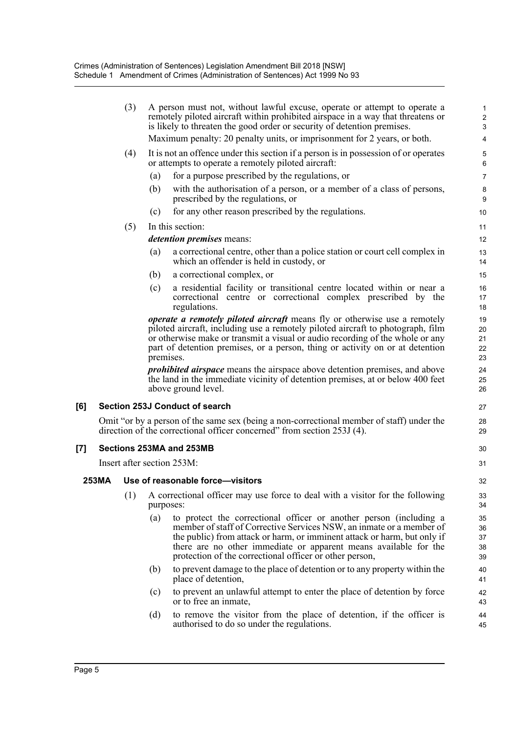|                     | (3)<br>A person must not, without lawful excuse, operate or attempt to operate a<br>remotely piloted aircraft within prohibited airspace in a way that threatens or<br>is likely to threaten the good order or security of detention premises.<br>Maximum penalty: 20 penalty units, or imprisonment for 2 years, or both. |     |                                                                                                                                                                      |                                                                                                                                                                                                                                                                                                                                                       |                            |  |  |
|---------------------|----------------------------------------------------------------------------------------------------------------------------------------------------------------------------------------------------------------------------------------------------------------------------------------------------------------------------|-----|----------------------------------------------------------------------------------------------------------------------------------------------------------------------|-------------------------------------------------------------------------------------------------------------------------------------------------------------------------------------------------------------------------------------------------------------------------------------------------------------------------------------------------------|----------------------------|--|--|
|                     |                                                                                                                                                                                                                                                                                                                            |     |                                                                                                                                                                      |                                                                                                                                                                                                                                                                                                                                                       | 4                          |  |  |
|                     |                                                                                                                                                                                                                                                                                                                            | (4) |                                                                                                                                                                      | It is not an offence under this section if a person is in possession of or operates<br>or attempts to operate a remotely piloted aircraft:                                                                                                                                                                                                            | 5<br>6                     |  |  |
|                     |                                                                                                                                                                                                                                                                                                                            |     | (a)                                                                                                                                                                  | for a purpose prescribed by the regulations, or                                                                                                                                                                                                                                                                                                       | 7                          |  |  |
|                     |                                                                                                                                                                                                                                                                                                                            |     | (b)                                                                                                                                                                  | with the authorisation of a person, or a member of a class of persons,<br>prescribed by the regulations, or                                                                                                                                                                                                                                           | 8<br>9                     |  |  |
|                     |                                                                                                                                                                                                                                                                                                                            |     | (c)                                                                                                                                                                  | for any other reason prescribed by the regulations.                                                                                                                                                                                                                                                                                                   | 10                         |  |  |
|                     |                                                                                                                                                                                                                                                                                                                            | (5) |                                                                                                                                                                      | In this section:                                                                                                                                                                                                                                                                                                                                      | 11                         |  |  |
|                     |                                                                                                                                                                                                                                                                                                                            |     |                                                                                                                                                                      | detention premises means:                                                                                                                                                                                                                                                                                                                             | 12                         |  |  |
|                     |                                                                                                                                                                                                                                                                                                                            |     | (a)                                                                                                                                                                  | a correctional centre, other than a police station or court cell complex in<br>which an offender is held in custody, or                                                                                                                                                                                                                               | 13<br>14                   |  |  |
|                     |                                                                                                                                                                                                                                                                                                                            |     | (b)                                                                                                                                                                  | a correctional complex, or                                                                                                                                                                                                                                                                                                                            | 15                         |  |  |
|                     |                                                                                                                                                                                                                                                                                                                            |     | (c)                                                                                                                                                                  | a residential facility or transitional centre located within or near a<br>correctional centre or correctional complex prescribed by the<br>regulations.                                                                                                                                                                                               | 16<br>17<br>18             |  |  |
|                     |                                                                                                                                                                                                                                                                                                                            |     | premises.                                                                                                                                                            | <i>operate a remotely piloted aircraft</i> means fly or otherwise use a remotely<br>piloted aircraft, including use a remotely piloted aircraft to photograph, film<br>or otherwise make or transmit a visual or audio recording of the whole or any<br>part of detention premises, or a person, thing or activity on or at detention                 | 19<br>20<br>21<br>22<br>23 |  |  |
|                     |                                                                                                                                                                                                                                                                                                                            |     |                                                                                                                                                                      | <i>prohibited airspace</i> means the airspace above detention premises, and above<br>the land in the immediate vicinity of detention premises, at or below 400 feet<br>above ground level.                                                                                                                                                            | 24<br>25<br>26             |  |  |
| [6]                 |                                                                                                                                                                                                                                                                                                                            |     |                                                                                                                                                                      | <b>Section 253J Conduct of search</b>                                                                                                                                                                                                                                                                                                                 | 27                         |  |  |
|                     |                                                                                                                                                                                                                                                                                                                            |     | Omit "or by a person of the same sex (being a non-correctional member of staff) under the<br>direction of the correctional officer concerned" from section 253J (4). |                                                                                                                                                                                                                                                                                                                                                       |                            |  |  |
| $\lbrack 7 \rbrack$ |                                                                                                                                                                                                                                                                                                                            |     |                                                                                                                                                                      | Sections 253MA and 253MB                                                                                                                                                                                                                                                                                                                              | 30                         |  |  |
|                     |                                                                                                                                                                                                                                                                                                                            |     |                                                                                                                                                                      | Insert after section 253M:                                                                                                                                                                                                                                                                                                                            | 31                         |  |  |
|                     | <b>253MA</b>                                                                                                                                                                                                                                                                                                               |     |                                                                                                                                                                      |                                                                                                                                                                                                                                                                                                                                                       |                            |  |  |
|                     |                                                                                                                                                                                                                                                                                                                            |     |                                                                                                                                                                      | Use of reasonable force-visitors                                                                                                                                                                                                                                                                                                                      | 32                         |  |  |
|                     |                                                                                                                                                                                                                                                                                                                            | (1) | purposes:                                                                                                                                                            | A correctional officer may use force to deal with a visitor for the following                                                                                                                                                                                                                                                                         | 33<br>34                   |  |  |
|                     |                                                                                                                                                                                                                                                                                                                            |     | (a)                                                                                                                                                                  | to protect the correctional officer or another person (including a<br>member of staff of Corrective Services NSW, an inmate or a member of<br>the public) from attack or harm, or imminent attack or harm, but only if<br>there are no other immediate or apparent means available for the<br>protection of the correctional officer or other person, | 35<br>36<br>37<br>38<br>39 |  |  |
|                     |                                                                                                                                                                                                                                                                                                                            |     | (b)                                                                                                                                                                  | to prevent damage to the place of detention or to any property within the<br>place of detention,                                                                                                                                                                                                                                                      | 40<br>41                   |  |  |
|                     |                                                                                                                                                                                                                                                                                                                            |     | (c)                                                                                                                                                                  | to prevent an unlawful attempt to enter the place of detention by force<br>or to free an inmate,                                                                                                                                                                                                                                                      | 42<br>43                   |  |  |
|                     |                                                                                                                                                                                                                                                                                                                            |     | (d)                                                                                                                                                                  | to remove the visitor from the place of detention, if the officer is<br>authorised to do so under the regulations.                                                                                                                                                                                                                                    | 44<br>45                   |  |  |
|                     |                                                                                                                                                                                                                                                                                                                            |     |                                                                                                                                                                      |                                                                                                                                                                                                                                                                                                                                                       |                            |  |  |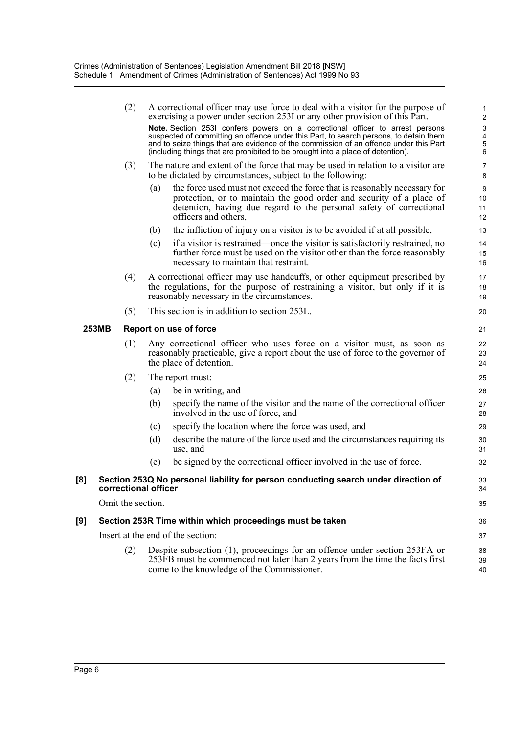|              |  | (2)                    |     | A correctional officer may use force to deal with a visitor for the purpose of<br>exercising a power under section 253I or any other provision of this Part.                                                                                                                                                                                       | 1<br>2                  |  |
|--------------|--|------------------------|-----|----------------------------------------------------------------------------------------------------------------------------------------------------------------------------------------------------------------------------------------------------------------------------------------------------------------------------------------------------|-------------------------|--|
|              |  |                        |     | Note. Section 253I confers powers on a correctional officer to arrest persons<br>suspected of committing an offence under this Part, to search persons, to detain them<br>and to seize things that are evidence of the commission of an offence under this Part<br>(including things that are prohibited to be brought into a place of detention). | ς<br>Α<br>$\frac{5}{6}$ |  |
|              |  | (3)                    |     | The nature and extent of the force that may be used in relation to a visitor are<br>to be dictated by circumstances, subject to the following:                                                                                                                                                                                                     | 7<br>ε                  |  |
|              |  |                        | (a) | the force used must not exceed the force that is reasonably necessary for<br>protection, or to maintain the good order and security of a place of<br>detention, having due regard to the personal safety of correctional<br>officers and others,                                                                                                   | ξ<br>10<br>11<br>12     |  |
|              |  |                        | (b) | the infliction of injury on a visitor is to be avoided if at all possible,                                                                                                                                                                                                                                                                         | 13                      |  |
|              |  |                        | (c) | if a visitor is restrained—once the visitor is satisfactorily restrained, no<br>further force must be used on the visitor other than the force reasonably<br>necessary to maintain that restraint.                                                                                                                                                 | 14<br>15<br>16          |  |
|              |  | (4)                    |     | A correctional officer may use handcuffs, or other equipment prescribed by<br>the regulations, for the purpose of restraining a visitor, but only if it is<br>reasonably necessary in the circumstances.                                                                                                                                           | 17<br>18<br>19          |  |
|              |  | (5)                    |     | This section is in addition to section 253L.                                                                                                                                                                                                                                                                                                       | 20                      |  |
| <b>253MB</b> |  | Report on use of force |     |                                                                                                                                                                                                                                                                                                                                                    |                         |  |
|              |  | (1)                    |     | Any correctional officer who uses force on a visitor must, as soon as<br>reasonably practicable, give a report about the use of force to the governor of<br>the place of detention.                                                                                                                                                                | 22<br>23<br>24          |  |
|              |  | (2)                    |     | The report must:                                                                                                                                                                                                                                                                                                                                   | 25                      |  |
|              |  |                        | (a) | be in writing, and                                                                                                                                                                                                                                                                                                                                 | 26                      |  |
|              |  |                        | (b) | specify the name of the visitor and the name of the correctional officer<br>involved in the use of force, and                                                                                                                                                                                                                                      | 27<br>28                |  |
|              |  |                        | (c) | specify the location where the force was used, and                                                                                                                                                                                                                                                                                                 | 29                      |  |
|              |  |                        | (d) | describe the nature of the force used and the circumstances requiring its<br>use, and                                                                                                                                                                                                                                                              | 3 <sub>C</sub><br>31    |  |
|              |  |                        | (e) | be signed by the correctional officer involved in the use of force.                                                                                                                                                                                                                                                                                | 32                      |  |
| [8]          |  | correctional officer   |     | Section 253Q No personal liability for person conducting search under direction of                                                                                                                                                                                                                                                                 | 33<br>34                |  |
|              |  | Omit the section.      |     |                                                                                                                                                                                                                                                                                                                                                    | 35                      |  |
| [9]          |  |                        |     | Section 253R Time within which proceedings must be taken                                                                                                                                                                                                                                                                                           | 36                      |  |
|              |  |                        |     | Insert at the end of the section:                                                                                                                                                                                                                                                                                                                  | 37                      |  |
|              |  | (2)                    |     | Despite subsection (1), proceedings for an offence under section 253FA or<br>253FB must be commenced not later than 2 years from the time the facts first<br>come to the knowledge of the Commissioner.                                                                                                                                            | 38<br>39<br>40          |  |
|              |  |                        |     |                                                                                                                                                                                                                                                                                                                                                    |                         |  |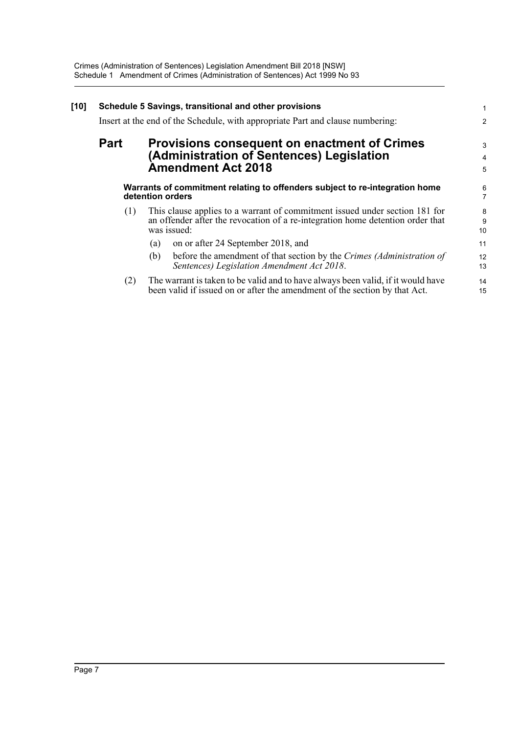| $[10]$ | Schedule 5 Savings, transitional and other provisions<br>Insert at the end of the Schedule, with appropriate Part and clause numbering: |                                                                                                                                                                              |                |
|--------|-----------------------------------------------------------------------------------------------------------------------------------------|------------------------------------------------------------------------------------------------------------------------------------------------------------------------------|----------------|
|        | <b>Part</b>                                                                                                                             | <b>Provisions consequent on enactment of Crimes</b><br>(Administration of Sentences) Legislation<br><b>Amendment Act 2018</b>                                                | 3<br>4<br>5    |
|        |                                                                                                                                         | Warrants of commitment relating to offenders subject to re-integration home<br>detention orders                                                                              | $\frac{6}{7}$  |
|        | (1)                                                                                                                                     | This clause applies to a warrant of commitment issued under section 181 for<br>an offender after the revocation of a re-integration home detention order that<br>was issued: | 8<br>9<br>10   |
|        |                                                                                                                                         | on or after 24 September 2018, and<br>(a)<br>before the amendment of that section by the Crimes (Administration of<br>(b)<br>Sentences) Legislation Amendment Act 2018.      | 11<br>12<br>13 |
|        | (2)                                                                                                                                     | The warrant is taken to be valid and to have always been valid, if it would have<br>been valid if issued on or after the amendment of the section by that Act.               | 14<br>15       |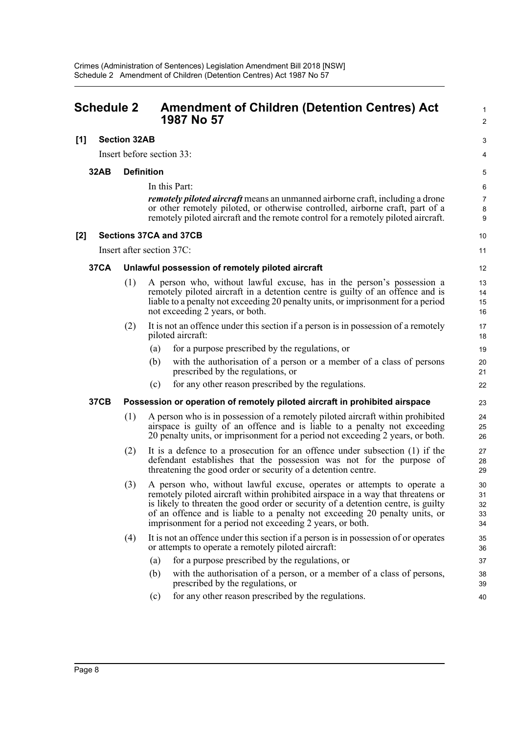<span id="page-11-0"></span>

| <b>Schedule 2</b> |             |                     | <b>Amendment of Children (Detention Centres) Act</b><br>1987 No 57                                                                                                                                                                                                                                                                                                                         |                            |
|-------------------|-------------|---------------------|--------------------------------------------------------------------------------------------------------------------------------------------------------------------------------------------------------------------------------------------------------------------------------------------------------------------------------------------------------------------------------------------|----------------------------|
| [1]               |             | <b>Section 32AB</b> |                                                                                                                                                                                                                                                                                                                                                                                            | 3                          |
|                   |             |                     | Insert before section 33:                                                                                                                                                                                                                                                                                                                                                                  | 4                          |
|                   | 32AB        | <b>Definition</b>   |                                                                                                                                                                                                                                                                                                                                                                                            | 5                          |
|                   |             |                     | In this Part:                                                                                                                                                                                                                                                                                                                                                                              | 6                          |
|                   |             |                     | <i>remotely piloted aircraft</i> means an unmanned airborne craft, including a drone<br>or other remotely piloted, or otherwise controlled, airborne craft, part of a<br>remotely piloted aircraft and the remote control for a remotely piloted aircraft.                                                                                                                                 | $\overline{7}$<br>8<br>9   |
| [2]               |             |                     | <b>Sections 37CA and 37CB</b>                                                                                                                                                                                                                                                                                                                                                              | 10                         |
|                   |             |                     | Insert after section 37C:                                                                                                                                                                                                                                                                                                                                                                  | 11                         |
|                   | <b>37CA</b> |                     | Unlawful possession of remotely piloted aircraft                                                                                                                                                                                                                                                                                                                                           | 12                         |
|                   |             | (1)                 | A person who, without lawful excuse, has in the person's possession a<br>remotely piloted aircraft in a detention centre is guilty of an offence and is<br>liable to a penalty not exceeding 20 penalty units, or imprisonment for a period<br>not exceeding 2 years, or both.                                                                                                             | 13<br>14<br>15<br>16       |
|                   |             | (2)                 | It is not an offence under this section if a person is in possession of a remotely<br>piloted aircraft:                                                                                                                                                                                                                                                                                    | 17<br>18                   |
|                   |             |                     | for a purpose prescribed by the regulations, or<br>(a)                                                                                                                                                                                                                                                                                                                                     | 19                         |
|                   |             |                     | with the authorisation of a person or a member of a class of persons<br>(b)<br>prescribed by the regulations, or                                                                                                                                                                                                                                                                           | 20<br>21                   |
|                   |             |                     | for any other reason prescribed by the regulations.<br>(c)                                                                                                                                                                                                                                                                                                                                 | 22                         |
|                   | <b>37CB</b> |                     | Possession or operation of remotely piloted aircraft in prohibited airspace                                                                                                                                                                                                                                                                                                                | 23                         |
|                   |             | (1)                 | A person who is in possession of a remotely piloted aircraft within prohibited<br>airspace is guilty of an offence and is liable to a penalty not exceeding<br>20 penalty units, or imprisonment for a period not exceeding 2 years, or both.                                                                                                                                              | 24<br>25<br>26             |
|                   |             | (2)                 | It is a defence to a prosecution for an offence under subsection $(1)$ if the<br>defendant establishes that the possession was not for the purpose of<br>threatening the good order or security of a detention centre.                                                                                                                                                                     | 27<br>28<br>29             |
|                   |             | (3)                 | A person who, without lawful excuse, operates or attempts to operate a<br>remotely piloted aircraft within prohibited airspace in a way that threatens or<br>is likely to threaten the good order or security of a detention centre, is guilty<br>of an offence and is liable to a penalty not exceeding 20 penalty units, or<br>imprisonment for a period not exceeding 2 years, or both. | 30<br>31<br>32<br>33<br>34 |
|                   |             | (4)                 | It is not an offence under this section if a person is in possession of or operates<br>or attempts to operate a remotely piloted aircraft:                                                                                                                                                                                                                                                 | 35<br>36                   |
|                   |             |                     | for a purpose prescribed by the regulations, or<br>(a)                                                                                                                                                                                                                                                                                                                                     | 37                         |
|                   |             |                     | (b)<br>with the authorisation of a person, or a member of a class of persons,<br>prescribed by the regulations, or                                                                                                                                                                                                                                                                         | 38<br>39                   |
|                   |             |                     | for any other reason prescribed by the regulations.<br>(c)                                                                                                                                                                                                                                                                                                                                 | 40                         |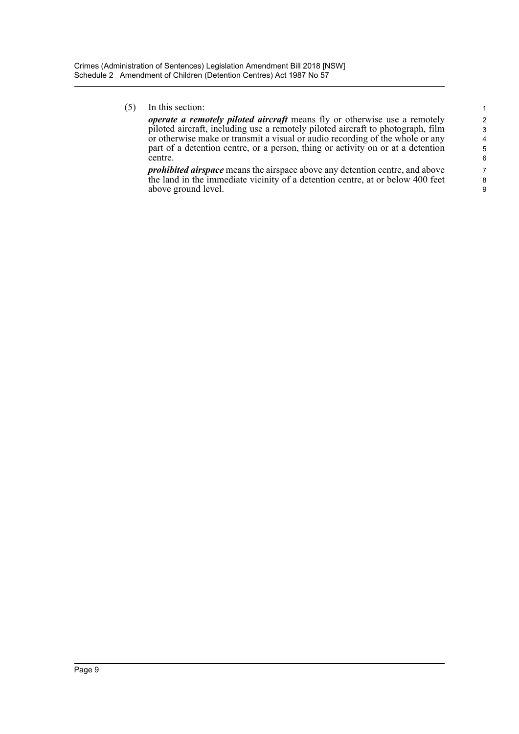(5) In this section: 1

*operate a remotely piloted aircraft* means fly or otherwise use a remotely 2 piloted aircraft, including use a remotely piloted aircraft to photograph, film 3 or otherwise make or transmit a visual or audio recording of the whole or any part of a detention centre, or a person, thing or activity on or at a detention part of a detention centre, or a person, thing or activity on or at a detention 5<br>centre. centre.

*prohibited airspace* means the airspace above any detention centre, and above 7 the land in the immediate vicinity of a detention centre, at or below 400 feet 8 above ground level.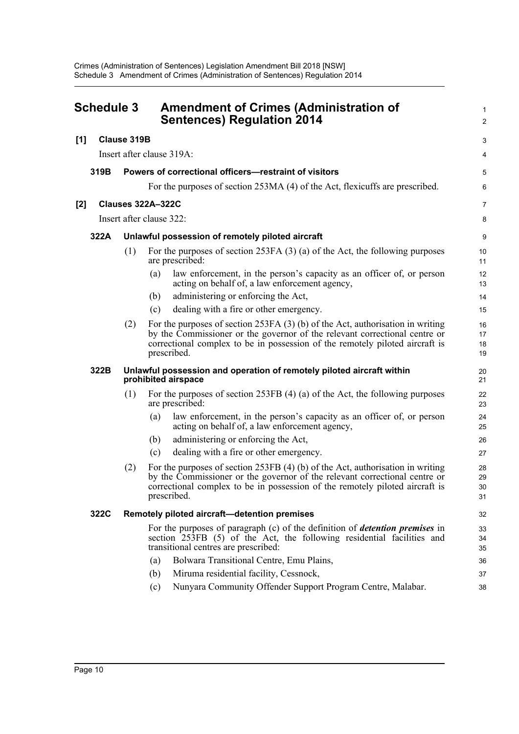<span id="page-13-0"></span>

| <b>Schedule 3</b> |                    |     |                                                  | <b>Amendment of Crimes (Administration of</b><br><b>Sentences) Regulation 2014</b>                                                                                                                                                             |                      |
|-------------------|--------------------|-----|--------------------------------------------------|------------------------------------------------------------------------------------------------------------------------------------------------------------------------------------------------------------------------------------------------|----------------------|
| [1]               | <b>Clause 319B</b> |     |                                                  |                                                                                                                                                                                                                                                |                      |
|                   |                    |     | Insert after clause 319A:                        |                                                                                                                                                                                                                                                |                      |
|                   | 319B               |     |                                                  | Powers of correctional officers—restraint of visitors                                                                                                                                                                                          |                      |
|                   |                    |     |                                                  | For the purposes of section 253MA (4) of the Act, flexicuffs are prescribed.                                                                                                                                                                   | Е                    |
| [2]               |                    |     | <b>Clauses 322A-322C</b>                         |                                                                                                                                                                                                                                                | 7                    |
|                   |                    |     | Insert after clause 322:                         |                                                                                                                                                                                                                                                | ε                    |
|                   | 322A               |     | Unlawful possession of remotely piloted aircraft |                                                                                                                                                                                                                                                | ς                    |
|                   |                    | (1) | are prescribed:                                  | For the purposes of section $253FA(3)$ (a) of the Act, the following purposes                                                                                                                                                                  | 10<br>11             |
|                   |                    |     | (a)                                              | law enforcement, in the person's capacity as an officer of, or person<br>acting on behalf of, a law enforcement agency,                                                                                                                        | 12<br>13             |
|                   |                    |     | (b)                                              | administering or enforcing the Act,                                                                                                                                                                                                            | 14                   |
|                   |                    |     | (c)                                              | dealing with a fire or other emergency.                                                                                                                                                                                                        | 15                   |
|                   |                    | (2) | prescribed.                                      | For the purposes of section $253FA(3)$ (b) of the Act, authorisation in writing<br>by the Commissioner or the governor of the relevant correctional centre or<br>correctional complex to be in possession of the remotely piloted aircraft is  | 16<br>17<br>18<br>19 |
|                   | 322B               |     | prohibited airspace                              | Unlawful possession and operation of remotely piloted aircraft within                                                                                                                                                                          | 20<br>21             |
|                   |                    | (1) | are prescribed:                                  | For the purposes of section $253FB$ (4) (a) of the Act, the following purposes                                                                                                                                                                 | 22<br>23             |
|                   |                    |     | (a)                                              | law enforcement, in the person's capacity as an officer of, or person<br>acting on behalf of, a law enforcement agency,                                                                                                                        | 24<br>25             |
|                   |                    |     | (b)                                              | administering or enforcing the Act,                                                                                                                                                                                                            | 26                   |
|                   |                    |     | (c)                                              | dealing with a fire or other emergency.                                                                                                                                                                                                        | 27                   |
|                   |                    | (2) | prescribed.                                      | For the purposes of section $253FB$ (4) (b) of the Act, authorisation in writing<br>by the Commissioner or the governor of the relevant correctional centre or<br>correctional complex to be in possession of the remotely piloted aircraft is | 28<br>29<br>30<br>31 |
|                   | 322C               |     | Remotely piloted aircraft-detention premises     |                                                                                                                                                                                                                                                | 32                   |
|                   |                    |     | transitional centres are prescribed:             | For the purposes of paragraph (c) of the definition of <i>detention premises</i> in<br>section 253FB (5) of the Act, the following residential facilities and                                                                                  | 33<br>34<br>35       |
|                   |                    |     | (a)                                              | Bolwara Transitional Centre, Emu Plains,                                                                                                                                                                                                       | 36                   |
|                   |                    |     | (b)                                              | Miruma residential facility, Cessnock,                                                                                                                                                                                                         | 37                   |
|                   |                    |     | (c)                                              | Nunyara Community Offender Support Program Centre, Malabar.                                                                                                                                                                                    | 38                   |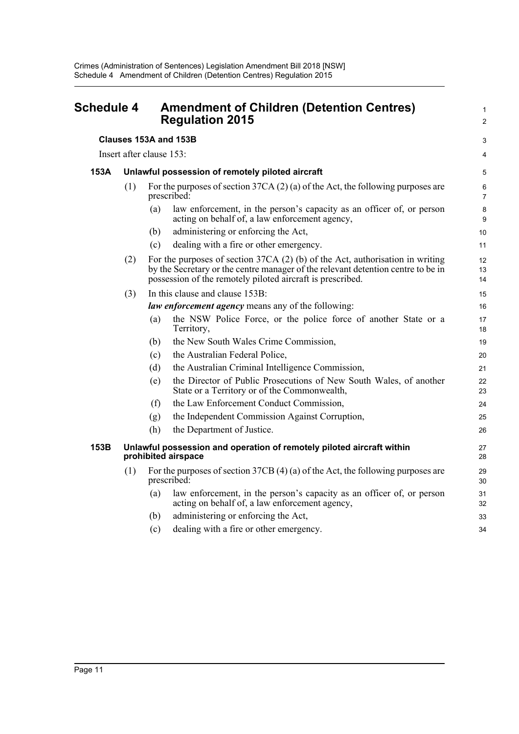<span id="page-14-0"></span>

| <b>Schedule 4</b> |                                                                                              |                                                                                                | <b>Amendment of Children (Detention Centres)</b><br><b>Regulation 2015</b>                                                                                                                                                       | 2                    |
|-------------------|----------------------------------------------------------------------------------------------|------------------------------------------------------------------------------------------------|----------------------------------------------------------------------------------------------------------------------------------------------------------------------------------------------------------------------------------|----------------------|
|                   |                                                                                              | Clauses 153A and 153B                                                                          |                                                                                                                                                                                                                                  |                      |
|                   | Insert after clause 153:                                                                     |                                                                                                |                                                                                                                                                                                                                                  | 4                    |
| 153A              |                                                                                              |                                                                                                | Unlawful possession of remotely piloted aircraft                                                                                                                                                                                 | 5                    |
|                   | (1)                                                                                          | For the purposes of section $37CA(2)(a)$ of the Act, the following purposes are<br>prescribed: |                                                                                                                                                                                                                                  |                      |
|                   |                                                                                              | (a)                                                                                            | law enforcement, in the person's capacity as an officer of, or person<br>acting on behalf of, a law enforcement agency,                                                                                                          | ε<br>ć               |
|                   |                                                                                              | (b)                                                                                            | administering or enforcing the Act,                                                                                                                                                                                              | 1 <sup>C</sup>       |
|                   |                                                                                              | (c)                                                                                            | dealing with a fire or other emergency.                                                                                                                                                                                          | 11                   |
|                   | (2)                                                                                          |                                                                                                | For the purposes of section $37CA(2)$ (b) of the Act, authorisation in writing<br>by the Secretary or the centre manager of the relevant detention centre to be in<br>possession of the remotely piloted aircraft is prescribed. | 12<br>13<br>14       |
|                   | (3)                                                                                          |                                                                                                | In this clause and clause 153B:                                                                                                                                                                                                  | 15                   |
|                   |                                                                                              |                                                                                                | law enforcement agency means any of the following:                                                                                                                                                                               | 16                   |
|                   |                                                                                              | (a)                                                                                            | the NSW Police Force, or the police force of another State or a<br>Territory,                                                                                                                                                    | 17<br>18             |
|                   |                                                                                              | (b)                                                                                            | the New South Wales Crime Commission,                                                                                                                                                                                            | 1 <sup>c</sup>       |
|                   |                                                                                              | (c)                                                                                            | the Australian Federal Police,                                                                                                                                                                                                   | 20                   |
|                   |                                                                                              | (d)                                                                                            | the Australian Criminal Intelligence Commission,                                                                                                                                                                                 | 21                   |
|                   |                                                                                              | (e)                                                                                            | the Director of Public Prosecutions of New South Wales, of another<br>State or a Territory or of the Commonwealth,                                                                                                               | 22<br>23             |
|                   |                                                                                              | (f)                                                                                            | the Law Enforcement Conduct Commission,                                                                                                                                                                                          | 24                   |
|                   |                                                                                              | (g)                                                                                            | the Independent Commission Against Corruption,                                                                                                                                                                                   | 25                   |
|                   |                                                                                              | (h)                                                                                            | the Department of Justice.                                                                                                                                                                                                       | 26                   |
| 153B              | Unlawful possession and operation of remotely piloted aircraft within<br>prohibited airspace |                                                                                                |                                                                                                                                                                                                                                  | 27<br>28             |
|                   | (1)                                                                                          |                                                                                                | For the purposes of section $37CB(4)(a)$ of the Act, the following purposes are<br>prescribed:                                                                                                                                   | 29<br>3 <sub>C</sub> |
|                   |                                                                                              | (a)                                                                                            | law enforcement, in the person's capacity as an officer of, or person<br>acting on behalf of, a law enforcement agency,                                                                                                          | 31<br>32             |
|                   |                                                                                              | (b)                                                                                            | administering or enforcing the Act,                                                                                                                                                                                              | 33                   |
|                   |                                                                                              | (c)                                                                                            | dealing with a fire or other emergency.                                                                                                                                                                                          | 34                   |